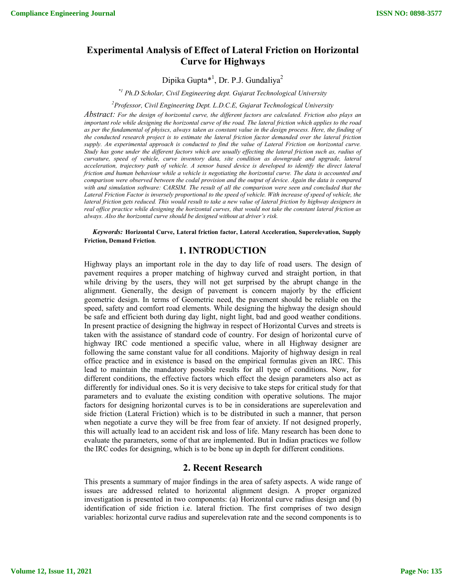# **Experimental Analysis of Effect of Lateral Friction on Horizontal Curve for Highways**

Dipika Gupta\*<sup>1</sup>, Dr. P.J. Gundaliya<sup>2</sup>

*\*1 Ph.D Scholar, Civil Engineering dept. Gujarat Technological University*

*2 Professor, Civil Engineering Dept. L.D.C.E, Gujarat Technological University*

*Abstract: For the design of horizontal curve, the different factors are calculated. Friction also plays an important role while designing the horizontal curve of the road. The lateral friction which applies to the road as per the fundamental of phyiscs, always taken as constant value in the design process. Here, the finding of the conducted research project is to estimate the lateral friction factor demanded over the lateral friction supply. An experimental approach is conducted to find the value of Lateral Friction on horizontal curve. Study has gone under the different factors which are usually effecting the lateral friction such as, radius of curvature, speed of vehicle, curve inventory data, site condition as downgrade and upgrade, lateral acceleration, trajectory path of vehicle. A sensor based device is developed to identify the direct lateral friction and human behaviour while a vehicle is negotiating the horizontal curve. The data is accounted and comparison were observed between the codal provision and the output of device. Again the data is compared*  with and simulation software: CARSIM. The result of all the comparison were seen and concluded that the *Lateral Friction Factor is inversely proportional to the speed of vehicle. With increase of speed of vehicle, the lateral friction gets reduced. This would result to take a new value of lateral friction by highway designers in real office practice while designing the horizontal curves, that would not take the constant lateral friction as always. Also the horizontal curve should be designed without at driver's risk.*

*Keywords:* **Horizontal Curve, Lateral friction factor, Lateral Acceleration, Superelevation, Supply Friction, Demand Friction***.*

### **1. INTRODUCTION**

Highway plays an important role in the day to day life of road users. The design of pavement requires a proper matching of highway curved and straight portion, in that while driving by the users, they will not get surprised by the abrupt change in the alignment. Generally, the design of pavement is concern majorly by the efficient geometric design. In terms of Geometric need, the pavement should be reliable on the speed, safety and comfort road elements. While designing the highway the design should be safe and efficient both during day light, night light, bad and good weather conditions. In present practice of designing the highway in respect of Horizontal Curves and streets is taken with the assistance of standard code of country. For design of horizontal curve of highway IRC code mentioned a specific value, where in all Highway designer are following the same constant value for all conditions. Majority of highway design in real office practice and in existence is based on the empirical formulas given an IRC. This lead to maintain the mandatory possible results for all type of conditions. Now, for different conditions, the effective factors which effect the design parameters also act as differently for individual ones. So it is very decisive to take steps for critical study for that parameters and to evaluate the existing condition with operative solutions. The major factors for designing horizontal curves is to be in considerations are superelevation and side friction (Lateral Friction) which is to be distributed in such a manner, that person when negotiate a curve they will be free from fear of anxiety. If not designed properly, this will actually lead to an accident risk and loss of life. Many research has been done to evaluate the parameters, some of that are implemented. But in Indian practices we follow the IRC codes for designing, which is to be bone up in depth for different conditions.

# **2. Recent Research**

This presents a summary of major findings in the area of safety aspects. A wide range of issues are addressed related to horizontal alignment design. A proper organized investigation is presented in two components: (a) Horizontal curve radius design and (b) identification of side friction i.e. lateral friction. The first comprises of two design variables: horizontal curve radius and superelevation rate and the second components is to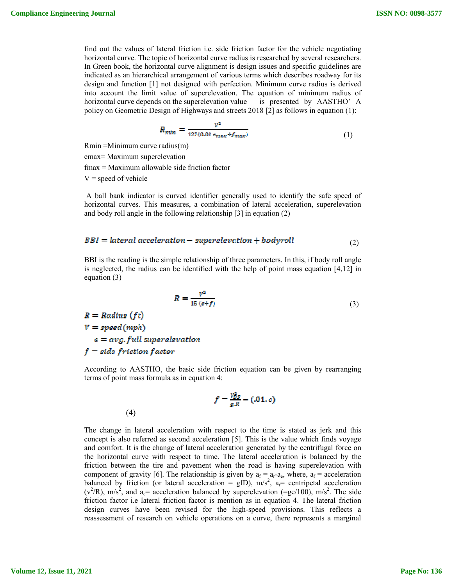find out the values of lateral friction i.e. side friction factor for the vehicle negotiating horizontal curve. The topic of horizontal curve radius is researched by several researchers. In Green book, the horizontal curve alignment is design issues and specific guidelines are indicated as an hierarchical arrangement of various terms which describes roadway for its design and function [1] not designed with perfection. Minimum curve radius is derived into account the limit value of superelevation. The equation of minimum radius of horizontal curve depends on the superelevation value is presented by AASTHO' A policy on Geometric Design of Highways and streets 2018 [2] as follows in equation (1):

$$
R_{min} = \frac{v^2}{127(0.01 s_{max} + f_{max})}
$$
(1)

Rmin =Minimum curve radius(m)

emax= Maximum superelevation

fmax = Maximum allowable side friction factor

 $V = speed of vehicle$ 

A ball bank indicator is curved identifier generally used to identify the safe speed of horizontal curves. This measures, a combination of lateral acceleration, superelevation and body roll angle in the following relationship [3] in equation (2)

$$
BBI = lateral acceleration - superelevation + bodyroll
$$
<sup>(2)</sup>

BBI is the reading is the simple relationship of three parameters. In this, if body roll angle is neglected, the radius can be identified with the help of point mass equation [4,12] in equation (3)

$$
R = \frac{v^2}{15\left(\epsilon + f\right)}\tag{3}
$$

 $R = Radius(ft)$  $V = speed(mph)$  $e = avg, full superelevation$  $f$  = side friction factor

(4)

According to AASTHO, the basic side friction equation can be given by rearranging terms of point mass formula as in equation 4:

$$
f=\frac{v_{DS}^2}{g.R}-(.01. c)
$$

The change in lateral acceleration with respect to the time is stated as jerk and this concept is also referred as second acceleration [5]. This is the value which finds voyage and comfort. It is the change of lateral acceleration generated by the centrifugal force on the horizontal curve with respect to time. The lateral acceleration is balanced by the friction between the tire and pavement when the road is having superelevation with component of gravity [6]. The relationship is given by  $a_f = a_r-a_e$ , where,  $a_f =$  acceleration balanced by friction (or lateral acceleration = gfD),  $m/s^2$ ,  $a_r$ = centripetal acceleration  $(v^2/R)$ , m/s<sup>2</sup>, and a<sub>e</sub>= acceleration balanced by superelevation (=ge/100), m/s<sup>2</sup>. The side friction factor i.e lateral friction factor is mention as in equation 4. The lateral friction design curves have been revised for the high-speed provisions. This reflects a reassessment of research on vehicle operations on a curve, there represents a marginal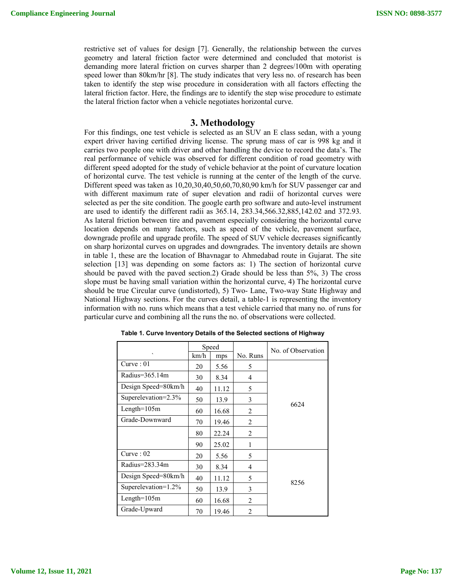restrictive set of values for design [7]. Generally, the relationship between the curves geometry and lateral friction factor were determined and concluded that motorist is demanding more lateral friction on curves sharper than 2 degrees/100m with operating speed lower than 80km/hr [8]. The study indicates that very less no. of research has been taken to identify the step wise procedure in consideration with all factors effecting the lateral friction factor. Here, the findings are to identify the step wise procedure to estimate the lateral friction factor when a vehicle negotiates horizontal curve.

#### **3. Methodology**

For this findings, one test vehicle is selected as an SUV an E class sedan, with a young expert driver having certified driving license. The sprung mass of car is 998 kg and it carries two people one with driver and other handling the device to record the data's. The real performance of vehicle was observed for different condition of road geometry with different speed adopted for the study of vehicle behavior at the point of curvature location of horizontal curve. The test vehicle is running at the center of the length of the curve. Different speed was taken as 10,20,30,40,50,60,70,80,90 km/h for SUV passenger car and with different maximum rate of super elevation and radii of horizontal curves were selected as per the site condition. The google earth pro software and auto-level instrument are used to identify the different radii as 365.14, 283.34,566.32,885,142.02 and 372.93. As lateral friction between tire and pavement especially considering the horizontal curve location depends on many factors, such as speed of the vehicle, pavement surface, downgrade profile and upgrade profile. The speed of SUV vehicle decreases significantly on sharp horizontal curves on upgrades and downgrades. The inventory details are shown in table 1, these are the location of Bhavnagar to Ahmedabad route in Gujarat. The site selection [13] was depending on some factors as: 1) The section of horizontal curve should be paved with the paved section.2) Grade should be less than 5%, 3) The cross slope must be having small variation within the horizontal curve, 4) The horizontal curve should be true Circular curve (undistorted), 5) Two- Lane, Two-way State Highway and National Highway sections. For the curves detail, a table-1 is representing the inventory information with no. runs which means that a test vehicle carried that many no. of runs for particular curve and combining all the runs the no. of observations were collected.

|                     | Speed |       |                | No. of Observation |
|---------------------|-------|-------|----------------|--------------------|
| ۰                   | km/h  | mps   | No. Runs       |                    |
| Curve:01            | 20    | 5.56  | 5              |                    |
| Radius=365.14m      | 30    | 8.34  | 4              |                    |
| Design Speed=80km/h | 40    | 11.12 | 5              |                    |
| Superelevation=2.3% | 50    | 13.9  | 3              |                    |
| $Length=105m$       | 60    | 16.68 | $\overline{2}$ | 6624               |
| Grade-Downward      | 70    | 19.46 | 2              |                    |
|                     | 80    | 22.24 | $\overline{2}$ |                    |
|                     | 90    | 25.02 | 1              |                    |
| Curve: 02           | 20    | 5.56  | 5              |                    |
| Radius=283.34m      | 30    | 8.34  | 4              |                    |
| Design Speed=80km/h | 40    | 11.12 | 5              | 8256               |
| Superelevation=1.2% | 50    | 13.9  | 3              |                    |
| $Length=105m$       | 60    | 16.68 | 2              |                    |
| Grade-Upward        | 70    | 19.46 | $\overline{2}$ |                    |

**Table 1. Curve Inventory Details of the Selected sections of Highway**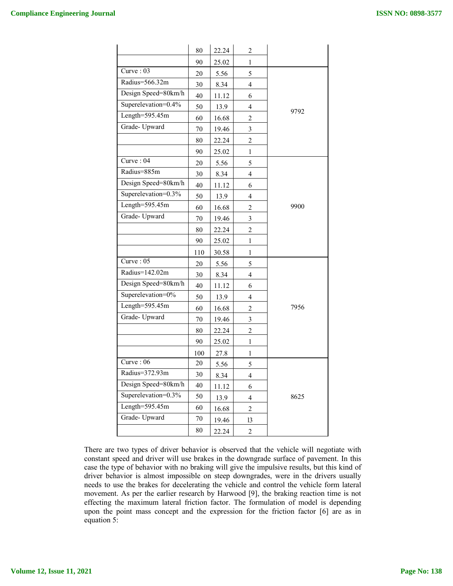|                     | 80  | 22.24 | $\overline{2}$          |      |
|---------------------|-----|-------|-------------------------|------|
|                     | 90  | 25.02 | 1                       |      |
| Curve: 03           | 20  | 5.56  | 5                       |      |
| Radius=566.32m      | 30  | 8.34  | 4                       |      |
| Design Speed=80km/h | 40  | 11.12 | 6                       |      |
| Superelevation=0.4% | 50  | 13.9  | 4                       |      |
| Length= $595.45m$   | 60  | 16.68 | $\boldsymbol{2}$        | 9792 |
| Grade-Upward        | 70  | 19.46 | $\mathfrak{Z}$          |      |
|                     | 80  | 22.24 | $\boldsymbol{2}$        |      |
|                     | 90  | 25.02 | $\mathbf{1}$            |      |
| Curve: 04           | 20  | 5.56  | 5                       |      |
| Radius=885m         | 30  | 8.34  | $\overline{4}$          |      |
| Design Speed=80km/h | 40  | 11.12 | 6                       |      |
| Superelevation=0.3% | 50  | 13.9  | 4                       |      |
| Length=595.45m      | 60  | 16.68 | $\overline{2}$          | 9900 |
| Grade-Upward        | 70  | 19.46 | 3                       |      |
|                     | 80  | 22.24 | $\overline{2}$          |      |
|                     | 90  | 25.02 | 1                       |      |
|                     | 110 | 30.58 | 1                       |      |
| Curve: $05$         | 20  | 5.56  | 5                       |      |
| Radius=142.02m      | 30  | 8.34  | 4                       |      |
| Design Speed=80km/h | 40  | 11.12 | 6                       |      |
| Superelevation=0%   | 50  | 13.9  | 4                       |      |
| Length= $595.45m$   | 60  | 16.68 | 2                       | 7956 |
| Grade-Upward        | 70  | 19.46 | 3                       |      |
|                     | 80  | 22.24 | $\overline{c}$          |      |
|                     | 90  | 25.02 | 1                       |      |
|                     | 100 | 27.8  | 1                       |      |
| Curve: 06           | 20  | 5.56  | 5                       |      |
| Radius=372.93m      | 30  | 8.34  | 4                       |      |
| Design Speed=80km/h | 40  | 11.12 | 6                       |      |
| Superelevation=0.3% | 50  | 13.9  | $\overline{\mathbf{4}}$ | 8625 |
| Length= $595.45m$   | 60  | 16.68 | $\overline{c}$          |      |
| Grade-Upward        | 70  | 19.46 | 13                      |      |
|                     | 80  | 22.24 | $\overline{\mathbf{c}}$ |      |

There are two types of driver behavior is observed that the vehicle will negotiate with constant speed and driver will use brakes in the downgrade surface of pavement. In this case the type of behavior with no braking will give the impulsive results, but this kind of driver behavior is almost impossible on steep downgrades, were in the drivers usually needs to use the brakes for decelerating the vehicle and control the vehicle form lateral movement. As per the earlier research by Harwood [9], the braking reaction time is not effecting the maximum lateral friction factor. The formulation of model is depending upon the point mass concept and the expression for the friction factor [6] are as in equation 5: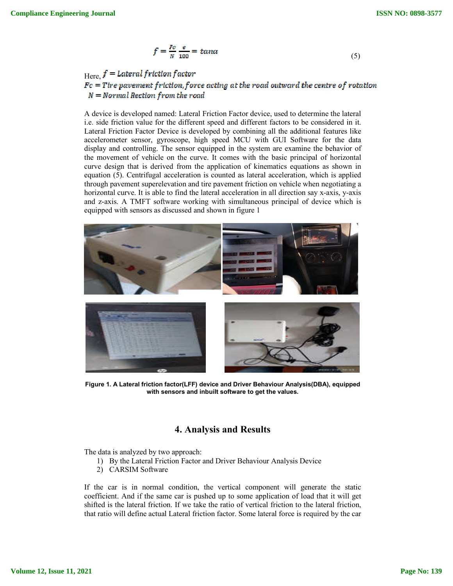$$
f = \frac{Fc}{N} \frac{e}{100} = \tan \alpha \tag{5}
$$

# Here,  $f =$  Lateral friction factor<br> $Fc =$  Tire pavement friction, force acting at the road outward the centre of rotation  $N = Normal$  Rection from the road

A device is developed named: Lateral Friction Factor device, used to determine the lateral i.e. side friction value for the different speed and different factors to be considered in it. Lateral Friction Factor Device is developed by combining all the additional features like accelerometer sensor, gyroscope, high speed MCU with GUI Software for the data display and controlling. The sensor equipped in the system are examine the behavior of the movement of vehicle on the curve. It comes with the basic principal of horizontal curve design that is derived from the application of kinematics equations as shown in equation (5). Centrifugal acceleration is counted as lateral acceleration, which is applied through pavement superelevation and tire pavement friction on vehicle when negotiating a horizontal curve. It is able to find the lateral acceleration in all direction say x-axis, y-axis and z-axis. A TMFT software working with simultaneous principal of device which is equipped with sensors as discussed and shown in figure 1



**Figure 1. A Lateral friction factor(LFF) device and Driver Behaviour Analysis(DBA), equipped with sensors and inbuilt software to get the values.**

# **4. Analysis and Results**

The data is analyzed by two approach:

- 1) By the Lateral Friction Factor and Driver Behaviour Analysis Device
- 2) CARSIM Software

If the car is in normal condition, the vertical component will generate the static coefficient. And if the same car is pushed up to some application of load that it will get shifted is the lateral friction. If we take the ratio of vertical friction to the lateral friction, that ratio will define actual Lateral friction factor. Some lateral force is required by the car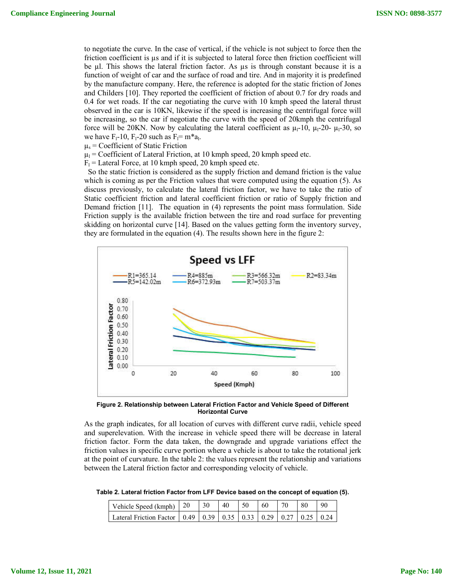to negotiate the curve. In the case of vertical, if the vehicle is not subject to force then the friction coefficient is µs and if it is subjected to lateral force then friction coefficient will be µl. This shows the lateral friction factor. As µs is through constant because it is a function of weight of car and the surface of road and tire. And in majority it is predefined by the manufacture company. Here, the reference is adopted for the static friction of Jones and Childers [10]. They reported the coefficient of friction of about 0.7 for dry roads and 0.4 for wet roads. If the car negotiating the curve with 10 kmph speed the lateral thrust observed in the car is 10KN, likewise if the speed is increasing the centrifugal force will be increasing, so the car if negotiate the curve with the speed of 20kmph the centrifugal force will be 20KN. Now by calculating the lateral coefficient as  $\mu_1$ -10,  $\mu_1$ -20-  $\mu_1$ -30, so we have  $F_1-10$ ,  $F_1-20$  such as  $F_1=m^*a_1$ .

 $\mu$ <sub>s</sub> = Coefficient of Static Friction

 $\mu_l$  = Coefficient of Lateral Friction, at 10 kmph speed, 20 kmph speed etc.

 $F_1$  = Lateral Force, at 10 kmph speed, 20 kmph speed etc.

 So the static friction is considered as the supply friction and demand friction is the value which is coming as per the Friction values that were computed using the equation (5). As discuss previously, to calculate the lateral friction factor, we have to take the ratio of Static coefficient friction and lateral coefficient friction or ratio of Supply friction and Demand friction [11]. The equation in (4) represents the point mass formulation. Side Friction supply is the available friction between the tire and road surface for preventing skidding on horizontal curve [14]. Based on the values getting form the inventory survey, they are formulated in the equation (4). The results shown here in the figure 2:



**Figure 2. Relationship between Lateral Friction Factor and Vehicle Speed of Different Horizontal Curve**

As the graph indicates, for all location of curves with different curve radii, vehicle speed and superelevation. With the increase in vehicle speed there will be decrease in lateral friction factor. Form the data taken, the downgrade and upgrade variations effect the friction values in specific curve portion where a vehicle is about to take the rotational jerk at the point of curvature. In the table 2: the values represent the relationship and variations between the Lateral friction factor and corresponding velocity of vehicle.

**Table 2. Lateral friction Factor from LFF Device based on the concept of equation (5).**

| Vehicle Speed (kmph) $\begin{array}{ c c c } \hline 20 & 30 \\ \hline \end{array}$ |  | 40 | $-50$ | $\overline{60}$ | 70 | 80 | 90 |
|------------------------------------------------------------------------------------|--|----|-------|-----------------|----|----|----|
| Lateral Friction Factor   0.49   0.39   0.35   0.33   0.29   0.27   0.25   0.24    |  |    |       |                 |    |    |    |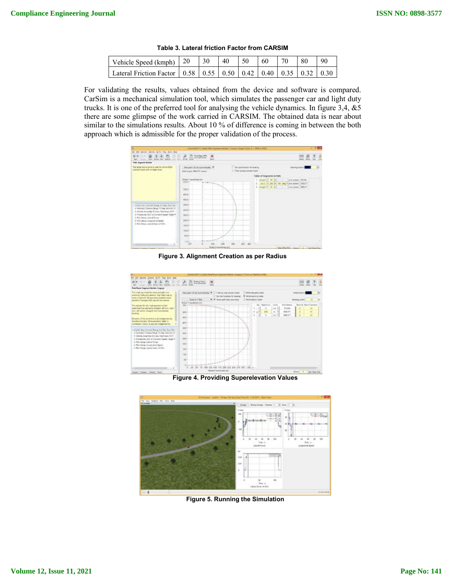| Table 3. Lateral friction Factor from CARSIM |  |  |  |  |  |  |  |
|----------------------------------------------|--|--|--|--|--|--|--|
|                                              |  |  |  |  |  |  |  |

| Vehicle Speed (kmph)   20   30   40   50   60   70   80                         |  |  |  | 90 |
|---------------------------------------------------------------------------------|--|--|--|----|
| Lateral Friction Factor   0.58   0.55   0.50   0.42   0.40   0.35   0.32   0.30 |  |  |  |    |

For validating the results, values obtained from the device and software is compared. CarSim is a mechanical simulation tool, which simulates the passenger car and light duty trucks. It is one of the preferred tool for analysing the vehicle dynamics. In figure 3,4, &5 there are some glimpse of the work carried in CARSIM. The obtained data is near about similar to the simulations results. About 10 % of difference is coming in between the both approach which is admissible for the proper validation of the process.



**Figure 3. Alignment Creation as per Radius**



**Figure 4. Providing Superelevation Values**



**Figure 5. Running the Simulation**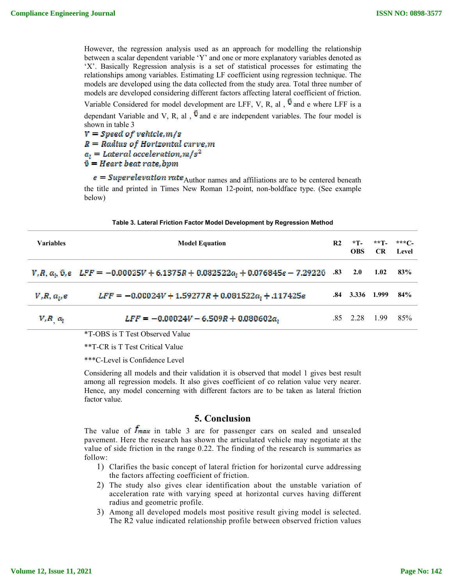However, the regression analysis used as an approach for modelling the relationship between a scalar dependent variable 'Y' and one or more explanatory variables denoted as 'X'. Basically Regression analysis is a set of statistical processes for estimating the relationships among variables. Estimating LF coefficient using regression technique. The models are developed using the data collected from the study area. Total three number of models are developed considering different factors affecting lateral coefficient of friction. Variable Considered for model development are LFF, V, R, al,  $\hat{v}$  and e where LFF is a

dependant Variable and V, R, al ,  $\hat{v}$  and e are independent variables. The four model is shown in table 3

 $V = Speed of vehicle, m/s$  $R = Radius of Horizontal curve, m$  $a_i = Lateral acceleration, m/s^2$  $\hat{v}$  = Heart beat rate.bpm

 $e = Superelevation rate$  Author names and affiliations are to be centered beneath the title and printed in Times New Roman 12-point, non-boldface type. (See example below)

**Table 3. Lateral Friction Factor Model Development by Regression Method**

| <b>Variables</b> | <b>Model Equation</b>                                                                                    | R2  | $*T$<br><b>OBS</b> | $***$ T –<br>CR. | ***C-<br>Level |
|------------------|----------------------------------------------------------------------------------------------------------|-----|--------------------|------------------|----------------|
|                  | $V, R, a_i$ , $\hat{v}, e$ LFF = -0.00025V + 6.1375R + 0.082522 $a_i$ + 0.076845e - 7.2922 $\hat{v}$ .83 |     | 2.0                | 1.02             | 83%            |
| $V, R, a_{i}, e$ | $LFF = -0.00024V + 1.59277R + 0.081522a_1 + .117425e$                                                    | .84 | 3.336              | 1.999            | 84%            |
| $V, R, a_i$      | $LFF = -0.00024V - 6.509R + 0.080602a_1$                                                                 |     | $.85 \quad 2.28$   | 1.99             | 85%            |

\*T-OBS is T Test Observed Value

\*\*T-CR is T Test Critical Value

\*\*\*C-Level is Confidence Level

Considering all models and their validation it is observed that model 1 gives best result among all regression models. It also gives coefficient of co relation value very nearer. Hence, any model concerning with different factors are to be taken as lateral friction factor value.

### **5. Conclusion**

The value of  $f_{max}$  in table 3 are for passenger cars on sealed and unsealed pavement. Here the research has shown the articulated vehicle may negotiate at the value of side friction in the range 0.22. The finding of the research is summaries as follow:

- 1) Clarifies the basic concept of lateral friction for horizontal curve addressing the factors affecting coefficient of friction.
- 2) The study also gives clear identification about the unstable variation of acceleration rate with varying speed at horizontal curves having different radius and geometric profile.
- 3) Among all developed models most positive result giving model is selected. The R2 value indicated relationship profile between observed friction values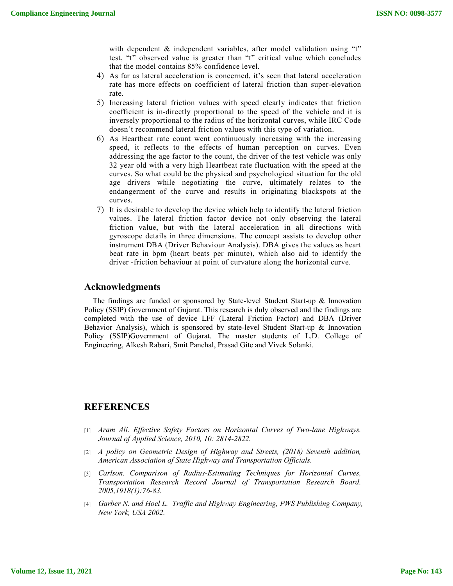with dependent & independent variables, after model validation using "t" test, "t" observed value is greater than "t" critical value which concludes that the model contains 85% confidence level.

- 4) As far as lateral acceleration is concerned, it's seen that lateral acceleration rate has more effects on coefficient of lateral friction than super-elevation rate.
- 5) Increasing lateral friction values with speed clearly indicates that friction coefficient is in-directly proportional to the speed of the vehicle and it is inversely proportional to the radius of the horizontal curves, while IRC Code doesn't recommend lateral friction values with this type of variation.
- 6) As Heartbeat rate count went continuously increasing with the increasing speed, it reflects to the effects of human perception on curves. Even addressing the age factor to the count, the driver of the test vehicle was only 32 year old with a very high Heartbeat rate fluctuation with the speed at the curves. So what could be the physical and psychological situation for the old age drivers while negotiating the curve, ultimately relates to the endangerment of the curve and results in originating blackspots at the curves.
- 7) It is desirable to develop the device which help to identify the lateral friction values. The lateral friction factor device not only observing the lateral friction value, but with the lateral acceleration in all directions with gyroscope details in three dimensions. The concept assists to develop other instrument DBA (Driver Behaviour Analysis). DBA gives the values as heart beat rate in bpm (heart beats per minute), which also aid to identify the driver -friction behaviour at point of curvature along the horizontal curve.

### **Acknowledgments**

The findings are funded or sponsored by State-level Student Start-up & Innovation Policy (SSIP) Government of Gujarat. This research is duly observed and the findings are completed with the use of device LFF (Lateral Friction Factor) and DBA (Driver Behavior Analysis), which is sponsored by state-level Student Start-up & Innovation Policy (SSIP)Government of Gujarat. The master students of L.D. College of Engineering, Alkesh Rabari, Smit Panchal, Prasad Gite and Vivek Solanki.

### **REFERENCES**

- [1] *Aram Ali. Effective Safety Factors on Horizontal Curves of Two-lane Highways. Journal of Applied Science, 2010, 10: 2814-2822.*
- [2] *A policy on Geometric Design of Highway and Streets, (2018) Seventh addition, American Association of State Highway and Transportation Officials.*
- [3] *Carlson. Comparison of Radius-Estimating Techniques for Horizontal Curves, Transportation Research Record Journal of Transportation Research Board. 2005,1918(1):76-83.*
- [4] *Garber N. and Hoel L. Traffic and Highway Engineering, PWS Publishing Company, New York, USA 2002.*